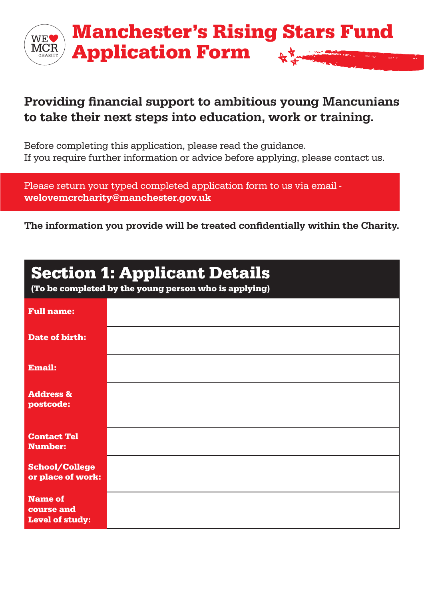

#### Providing financial support to ambitious young Mancunians to take their next steps into education, work or training.

Before completing this application, please read the guidance. If you require further information or advice before applying, please contact us.

Please return your typed completed application form to us via email welovemcrcharity@manchester.gov.uk

The information you provide will be treated confidentially within the Charity.

| <b>Section 1: Applicant Details</b><br>(To be completed by the young person who is applying) |  |  |
|----------------------------------------------------------------------------------------------|--|--|
| <b>Full name:</b>                                                                            |  |  |
| <b>Date of birth:</b>                                                                        |  |  |
| <b>Email:</b>                                                                                |  |  |
| <b>Address &amp;</b><br>postcode:                                                            |  |  |
| <b>Contact Tel</b><br><b>Number:</b>                                                         |  |  |
| <b>School/College</b><br>or place of work:                                                   |  |  |
| <b>Name of</b><br>course and<br><b>Level of study:</b>                                       |  |  |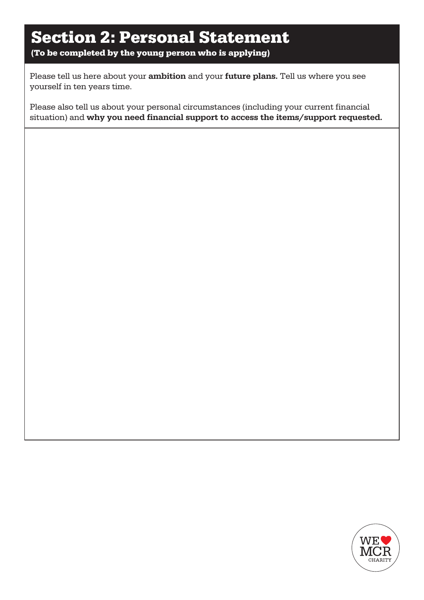# Section 2: Personal Statement

(To be completed by the young person who is applying)

Please tell us here about your ambition and your future plans. Tell us where you see yourself in ten years time.

Please also tell us about your personal circumstances (including your current financial situation) and why you need financial support to access the items/support requested.

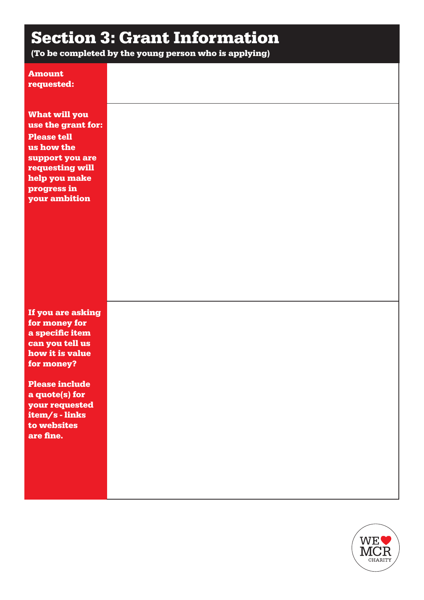# Section 3: Grant Information

(To be completed by the young person who is applying)

| <b>Amount</b><br>requested:                                                                                                                                                                                        |  |  |
|--------------------------------------------------------------------------------------------------------------------------------------------------------------------------------------------------------------------|--|--|
| <b>What will you</b><br>use the grant for:<br><b>Please tell</b><br>us how the<br>support you are<br>requesting will<br>help you make<br>progress in<br>your ambition                                              |  |  |
| If you are asking<br>for money for<br>a specific item<br>can you tell us<br>how it is value<br>for money?<br><b>Please include</b><br>a quote(s) for<br>your requested<br>item/s-links<br>to websites<br>are fine. |  |  |

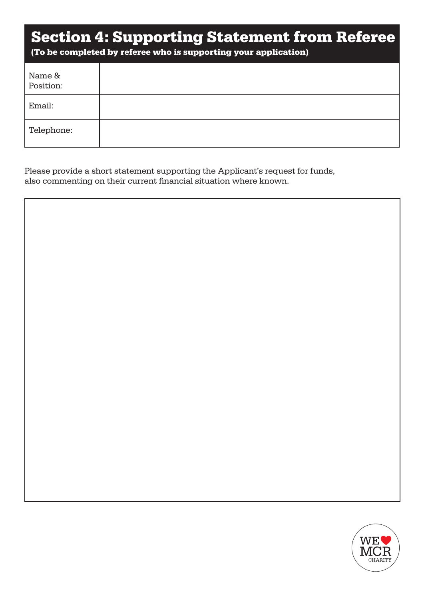#### Section 4: Supporting Statement from Referee

(To be completed by referee who is supporting your application)

| Name &<br>Position: |  |
|---------------------|--|
| Email:              |  |
| Telephone:          |  |

Please provide a short statement supporting the Applicant's request for funds, also commenting on their current financial situation where known.

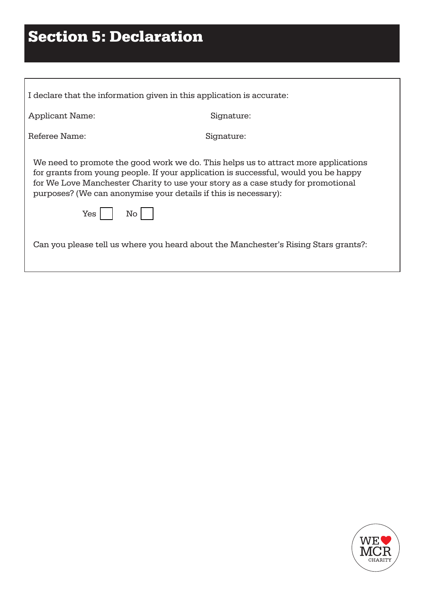# Section 5: Declaration

| I declare that the information given in this application is accurate:                                                                                                                                                                                                                                                            |            |  |  |
|----------------------------------------------------------------------------------------------------------------------------------------------------------------------------------------------------------------------------------------------------------------------------------------------------------------------------------|------------|--|--|
| <b>Applicant Name:</b>                                                                                                                                                                                                                                                                                                           | Signature: |  |  |
| Referee Name:                                                                                                                                                                                                                                                                                                                    | Signature: |  |  |
| We need to promote the good work we do. This helps us to attract more applications<br>for grants from young people. If your application is successful, would you be happy<br>for We Love Manchester Charity to use your story as a case study for promotional<br>purposes? (We can anonymise your details if this is necessary): |            |  |  |
| Yes<br>$\overline{\text{No}}$                                                                                                                                                                                                                                                                                                    |            |  |  |
| Can you please tell us where you heard about the Manchester's Rising Stars grants?:                                                                                                                                                                                                                                              |            |  |  |

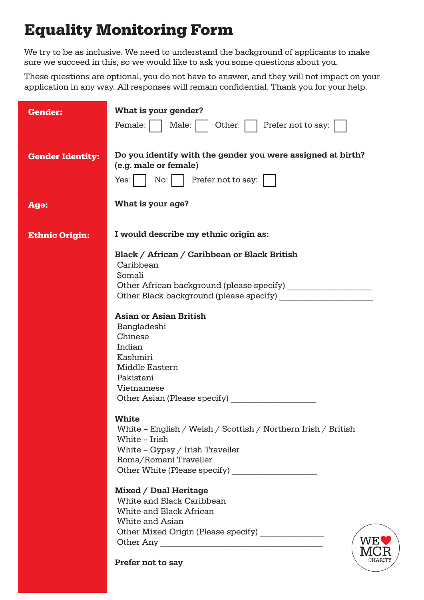### Equality Monitoring Form

We try to be as inclusive. We need to understand the background of applicants to make sure we succeed in this, so we would like to ask you some questions about you.

These questions are optional, you do not have to answer, and they will not impact on your application in any way. All responses will remain confidential. Thank you for your help.

| <b>Gender:</b>          | What is your gender?<br>Prefer not to say:<br>Female:<br>Male:<br>Other:                                                                                                                                                                                                                                                                                                                                                                     |
|-------------------------|----------------------------------------------------------------------------------------------------------------------------------------------------------------------------------------------------------------------------------------------------------------------------------------------------------------------------------------------------------------------------------------------------------------------------------------------|
| <b>Gender Identity:</b> | Do you identify with the gender you were assigned at birth?<br>(e.g. male or female)<br>Prefer not to say:<br>No:<br>Yes:                                                                                                                                                                                                                                                                                                                    |
| Age:                    | What is your age?                                                                                                                                                                                                                                                                                                                                                                                                                            |
| <b>Ethnic Origin:</b>   | I would describe my ethnic origin as:                                                                                                                                                                                                                                                                                                                                                                                                        |
|                         | Black / African / Caribbean or Black British<br>Caribbean<br>Somali<br>Other Black background (please specify)<br><b>Asian or Asian British</b><br>Bangladeshi<br>Chinese<br>Indian<br>Kashmiri<br>Middle Eastern<br>Pakistani<br>Vietnamese<br>Other Asian (Please specify)<br><b>White</b><br>White – English / Welsh / Scottish / Northern Irish / British<br>White - Irish<br>White $-$ Gypsy / Irish Traveller<br>Roma/Romani Traveller |
|                         | Other White (Please specify)<br><b>Mixed / Dual Heritage</b><br>White and Black Caribbean<br>White and Black African<br>White and Asian<br>Other Mixed Origin (Please specify) _______________<br>WE<br>CHARITY<br>Prefer not to say                                                                                                                                                                                                         |